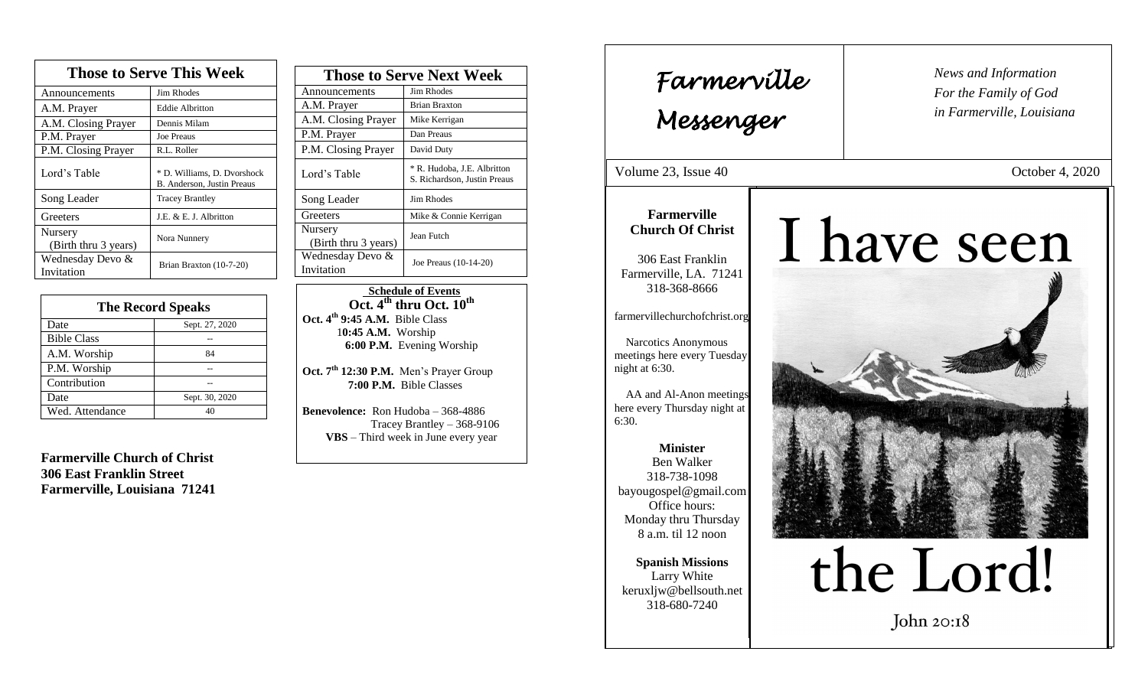| <b>Those to Serve This Week</b> |                                                           |  |
|---------------------------------|-----------------------------------------------------------|--|
| Announcements                   | <b>Jim Rhodes</b>                                         |  |
| A.M. Prayer                     | <b>Eddie Albritton</b>                                    |  |
| A.M. Closing Prayer             | Dennis Milam                                              |  |
| P.M. Prayer                     | Joe Preaus                                                |  |
| P.M. Closing Prayer             | R.L. Roller                                               |  |
| Lord's Table                    | * D. Williams, D. Dvorshock<br>B. Anderson, Justin Preaus |  |
| Song Leader                     | <b>Tracey Brantley</b>                                    |  |
| Greeters                        | J.E. & E. J. Albritton                                    |  |
| Nursery<br>(Birth thru 3 years) | Nora Nunnery                                              |  |
| Wednesday Devo &<br>Invitation  | Brian Braxton (10-7-20)                                   |  |

| <b>The Record Speaks</b> |                |  |
|--------------------------|----------------|--|
| Date                     | Sept. 27, 2020 |  |
| <b>Bible Class</b>       |                |  |
| A.M. Worship             | 84             |  |
| P.M. Worship             |                |  |
| Contribution             |                |  |
| Date                     | Sept. 30, 2020 |  |
| Wed. Attendance          |                |  |

**Farmerville Church of Christ 306 East Franklin Street Farmerville, Louisiana 71241**

| <b>Those to Serve Next Week</b> |                                                             |  |
|---------------------------------|-------------------------------------------------------------|--|
| Announcements                   | Jim Rhodes                                                  |  |
| A.M. Prayer                     | <b>Brian Braxton</b>                                        |  |
| A.M. Closing Prayer             | Mike Kerrigan                                               |  |
| P.M. Prayer                     | Dan Preaus                                                  |  |
| P.M. Closing Prayer             | David Duty                                                  |  |
| Lord's Table                    | * R. Hudoba, J.E. Albritton<br>S. Richardson, Justin Preaus |  |
| Song Leader                     | Jim Rhodes                                                  |  |
| Greeters                        | Mike & Connie Kerrigan                                      |  |
| Nursery<br>(Birth thru 3 years) | Jean Futch                                                  |  |
| Wednesday Devo &<br>Invitation  | Joe Preaus (10-14-20)                                       |  |

 **Schedule of Events Oct. 4 th thru Oct. 10th Oct. 4th 9:45 A.M.** Bible Class 1**0:45 A.M.** Worship  **6:00 P.M.** Evening Worship

**Oct. 7th 12:30 P.M.** Men's Prayer Group **7:00 P.M.** Bible Classes

**Benevolence:** Ron Hudoba – 368-4886 Tracey Brantley – 368-9106 **VBS** – Third week in June every year

*News and Information* **Farmerville**  $\begin{bmatrix} \text{News an} \\ \text{For the} \end{bmatrix}$ *For the Family of God in Farmerville, Louisiana Messenger*  Volume 23, Issue 40 October 4, 2020 , 2015 **Farmerville** I have seen **Church Of Christ** 306 East Franklin Farmerville, LA. 71241 318-368-8666 farmervillechurchofchrist.org Narcotics Anonymous meetings here every Tuesday night at 6:30. AA and Al-Anon meetings here every Thursday night at 6:30. **Minister** Ben Walker 318-738-1098 bayougospel@gmail.com Office hours: Monday thru Thursday 8 a.m. til 12 noon the Lord! **Spanish Missions** Larry White keruxljw@bellsouth.net 318-680-7240 John  $20:18$  $\overline{a}$